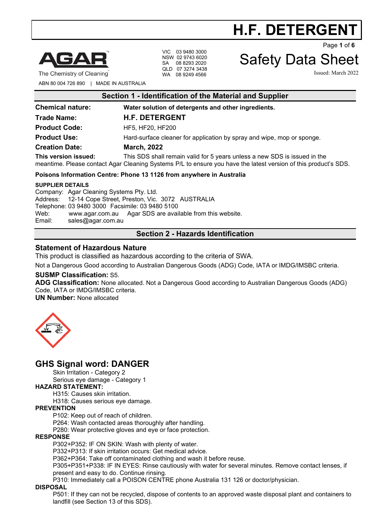

The Chemistry of Cleaning

VIC 03 9480 3000 NSW 02 9743 6020 SA 08 8293 2020 QLD 07 3274 3438 WA 08 9249 4566

Page **1** of **6**

# Safety Data Sheet

**H.F. DETERGENT**

Issued: March 2022

ABN 80 004 726 890 | MADE IN AUSTRALIA

| Section 1 - Identification of the Material and Supplier                                                                                                                                                              |                                                                        |  |  |  |
|----------------------------------------------------------------------------------------------------------------------------------------------------------------------------------------------------------------------|------------------------------------------------------------------------|--|--|--|
| <b>Chemical nature:</b>                                                                                                                                                                                              | Water solution of detergents and other ingredients.                    |  |  |  |
| <b>Trade Name:</b>                                                                                                                                                                                                   | <b>H.F. DETERGENT</b>                                                  |  |  |  |
| <b>Product Code:</b>                                                                                                                                                                                                 | HF5, HF20, HF200                                                       |  |  |  |
| <b>Product Use:</b>                                                                                                                                                                                                  | Hard-surface cleaner for application by spray and wipe, mop or sponge. |  |  |  |
| <b>Creation Date:</b>                                                                                                                                                                                                | <b>March, 2022</b>                                                     |  |  |  |
| This version issued:<br>This SDS shall remain valid for 5 years unless a new SDS is issued in the<br>meantime. Please contact Agar Cleaning Systems P/L to ensure you have the latest version of this product's SDS. |                                                                        |  |  |  |
| Poisons Information Centre: Phone 13 1126 from anywhere in Australia                                                                                                                                                 |                                                                        |  |  |  |
| <b>SUPPLIER DETAILS</b><br>Company: Agar Cleaning Systems Pty Ltd.                                                                                                                                                   |                                                                        |  |  |  |

Company: Agar Cleaning Systems Pty. Ltd. Address: 12-14 Cope Street, Preston, Vic. 3072 AUSTRALIA Telephone: 03 9480 3000 Facsimile: 03 9480 5100 Web: [www.agar.com.au](http://www.agar.com.au/) Agar SDS are available from this website.<br>Email: sales@agar.com.au [sales@agar.com.au](mailto:sales@agar.com.au)

#### **Section 2 - Hazards Identification**

#### **Statement of Hazardous Nature**

This product is classified as hazardous according to the criteria of SWA.

Not a Dangerous Good according to Australian Dangerous Goods (ADG) Code, IATA or IMDG/IMSBC criteria.

#### **SUSMP Classification:** S5.

**ADG Classification:** None allocated. Not a Dangerous Good according to Australian Dangerous Goods (ADG) Code, IATA or IMDG/IMSBC criteria.

**UN Number:** None allocated



# **GHS Signal word: DANGER**

Skin Irritation - Category 2

Serious eye damage - Category 1

#### **HAZARD STATEMENT:**

H315: Causes skin irritation.

H318: Causes serious eye damage.

#### **PREVENTION**

P102: Keep out of reach of children.

P264: Wash contacted areas thoroughly after handling.

P280: Wear protective gloves and eye or face protection.

#### **RESPONSE**

P302+P352: IF ON SKIN: Wash with plenty of water.

P332+P313: If skin irritation occurs: Get medical advice.

P362+P364: Take off contaminated clothing and wash it before reuse.

P305+P351+P338: IF IN EYES: Rinse cautiously with water for several minutes. Remove contact lenses, if present and easy to do. Continue rinsing.

P310: Immediately call a POISON CENTRE phone Australia 131 126 or doctor/physician.

#### **DISPOSAL**

P501: If they can not be recycled, dispose of contents to an approved waste disposal plant and containers to landfill (see Section 13 of this SDS).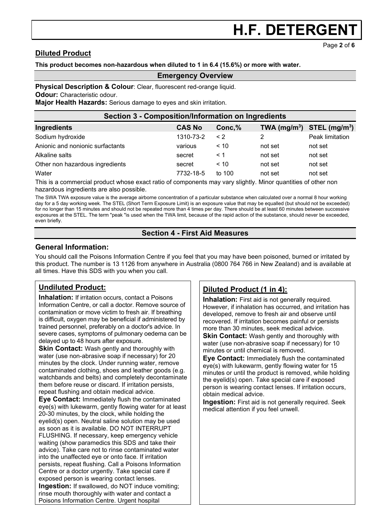# **Diluted Product**

**This product becomes non-hazardous when diluted to 1 in 6.4 (15.6%) or more with water.**

#### **Emergency Overview**

**Physical Description & Colour: Clear, fluorescent red-orange liquid.** 

**Odour:** Characteristic odour.

**Major Health Hazards:** Serious damage to eyes and skin irritation.

| Section 3 - Composition/Information on Ingredients |               |          |                                |                 |
|----------------------------------------------------|---------------|----------|--------------------------------|-----------------|
| Ingredients                                        | <b>CAS No</b> | Conc, %  | TWA $(mg/m^3)$ STEL $(mg/m^3)$ |                 |
| Sodium hydroxide                                   | 1310-73-2     | $\leq$ 2 |                                | Peak limitation |
| Anionic and nonionic surfactants                   | various       | ~10      | not set                        | not set         |
| Alkaline salts                                     | secret        | $\leq 1$ | not set                        | not set         |
| Other non hazardous ingredients                    | secret        | < 10     | not set                        | not set         |
| Water                                              | 7732-18-5     | to $100$ | not set                        | not set         |

This is a commercial product whose exact ratio of components may vary slightly. Minor quantities of other non hazardous ingredients are also possible.

The SWA TWA exposure value is the average airborne concentration of a particular substance when calculated over a normal 8 hour working day for a 5 day working week. The STEL (Short Term Exposure Limit) is an exposure value that may be equalled (but should not be exceeded) for no longer than 15 minutes and should not be repeated more than 4 times per day. There should be at least 60 minutes between successive exposures at the STEL. The term "peak "is used when the TWA limit, because of the rapid action of the substance, should never be exceeded, even briefly.

## **Section 4 - First Aid Measures**

### **General Information:**

You should call the Poisons Information Centre if you feel that you may have been poisoned, burned or irritated by this product. The number is 13 1126 from anywhere in Australia (0800 764 766 in New Zealand) and is available at all times. Have this SDS with you when you call.

# **Undiluted Product:**

**Inhalation:** If irritation occurs, contact a Poisons Information Centre, or call a doctor. Remove source of contamination or move victim to fresh air. If breathing is difficult, oxygen may be beneficial if administered by trained personnel, preferably on a doctor's advice. In severe cases, symptoms of pulmonary oedema can be delayed up to 48 hours after exposure.

**Skin Contact:** Wash gently and thoroughly with water (use non-abrasive soap if necessary) for 20 minutes by the clock. Under running water, remove contaminated clothing, shoes and leather goods (e.g. watchbands and belts) and completely decontaminate them before reuse or discard. If irritation persists, repeat flushing and obtain medical advice.

**Eye Contact:** Immediately flush the contaminated eye(s) with lukewarm, gently flowing water for at least 20-30 minutes, by the clock, while holding the eyelid(s) open. Neutral saline solution may be used as soon as it is available. DO NOT INTERRUPT FLUSHING. If necessary, keep emergency vehicle waiting (show paramedics this SDS and take their advice). Take care not to rinse contaminated water into the unaffected eye or onto face. If irritation persists, repeat flushing. Call a Poisons Information Centre or a doctor urgently. Take special care if exposed person is wearing contact lenses. **Ingestion:** If swallowed, do NOT induce vomiting; rinse mouth thoroughly with water and contact a Poisons Information Centre. Urgent hospital

# **Diluted Product (1 in 4):**

**Inhalation:** First aid is not generally required. However, if inhalation has occurred, and irritation has developed, remove to fresh air and observe until recovered. If irritation becomes painful or persists more than 30 minutes, seek medical advice.

**Skin Contact:** Wash gently and thoroughly with water (use non-abrasive soap if necessary) for 10 minutes or until chemical is removed.

**Eye Contact:** Immediately flush the contaminated eye(s) with lukewarm, gently flowing water for 15 minutes or until the product is removed, while holding the eyelid(s) open. Take special care if exposed person is wearing contact lenses. If irritation occurs, obtain medical advice.

**Ingestion:** First aid is not generally required. Seek medical attention if you feel unwell.

Page **2** of **6**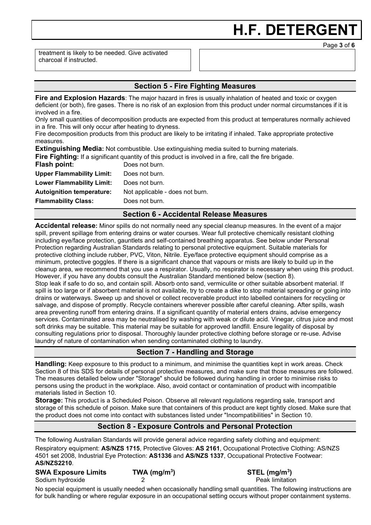treatment is likely to be needed. Give activated charcoal if instructed.

## **Section 5 - Fire Fighting Measures**

**Fire and Explosion Hazards**: The major hazard in fires is usually inhalation of heated and toxic or oxygen deficient (or both), fire gases. There is no risk of an explosion from this product under normal circumstances if it is involved in a fire.

Only small quantities of decomposition products are expected from this product at temperatures normally achieved in a fire. This will only occur after heating to dryness.

Fire decomposition products from this product are likely to be irritating if inhaled. Take appropriate protective measures.

**Extinguishing Media:** Not combustible. Use extinguishing media suited to burning materials.

**Fire Fighting:** If a significant quantity of this product is involved in a fire, call the fire brigade.

| Flash point:                     | Does not burn.                  |
|----------------------------------|---------------------------------|
| <b>Upper Flammability Limit:</b> | Does not burn.                  |
| <b>Lower Flammability Limit:</b> | Does not burn.                  |
| <b>Autoignition temperature:</b> | Not applicable - does not burn. |
| <b>Flammability Class:</b>       | Does not burn.                  |
|                                  |                                 |

#### **Section 6 - Accidental Release Measures**

**Accidental release:** Minor spills do not normally need any special cleanup measures. In the event of a major spill, prevent spillage from entering drains or water courses. Wear full protective chemically resistant clothing including eye/face protection, gauntlets and self-contained breathing apparatus. See below under Personal Protection regarding Australian Standards relating to personal protective equipment. Suitable materials for protective clothing include rubber, PVC, Viton, Nitrile. Eye/face protective equipment should comprise as a minimum, protective goggles. If there is a significant chance that vapours or mists are likely to build up in the cleanup area, we recommend that you use a respirator. Usually, no respirator is necessary when using this product. However, if you have any doubts consult the Australian Standard mentioned below (section 8). Stop leak if safe to do so, and contain spill. Absorb onto sand, vermiculite or other suitable absorbent material. If spill is too large or if absorbent material is not available, try to create a dike to stop material spreading or going into drains or waterways. Sweep up and shovel or collect recoverable product into labelled containers for recycling or salvage, and dispose of promptly. Recycle containers wherever possible after careful cleaning. After spills, wash area preventing runoff from entering drains. If a significant quantity of material enters drains, advise emergency services. Contaminated area may be neutralised by washing with weak or dilute acid. Vinegar, citrus juice and most soft drinks may be suitable. This material may be suitable for approved landfill. Ensure legality of disposal by consulting regulations prior to disposal. Thoroughly launder protective clothing before storage or re-use. Advise laundry of nature of contamination when sending contaminated clothing to laundry.

# **Section 7 - Handling and Storage**

**Handling:** Keep exposure to this product to a minimum, and minimise the quantities kept in work areas. Check Section 8 of this SDS for details of personal protective measures, and make sure that those measures are followed. The measures detailed below under "Storage" should be followed during handling in order to minimise risks to persons using the product in the workplace. Also, avoid contact or contamination of product with incompatible materials listed in Section 10.

**Storage:** This product is a Scheduled Poison. Observe all relevant regulations regarding sale, transport and storage of this schedule of poison. Make sure that containers of this product are kept tightly closed. Make sure that the product does not come into contact with substances listed under "Incompatibilities" in Section 10.

## **Section 8 - Exposure Controls and Personal Protection**

The following Australian Standards will provide general advice regarding safety clothing and equipment: Respiratory equipment: **AS/NZS 1715**, Protective Gloves: **AS 2161**, Occupational Protective Clothing: AS/NZS 4501 set 2008, Industrial Eye Protection: **AS1336** and **AS/NZS 1337**, Occupational Protective Footwear: **AS/NZS2210**.

#### **SWA Exposure Limits TWA (mg/m3** Sodium hydroxide **2** 2 **Peak limitation Peak limitation**

**) STEL (mg/m3 )** 

No special equipment is usually needed when occasionally handling small quantities. The following instructions are for bulk handling or where regular exposure in an occupational setting occurs without proper containment systems.

Page **3** of **6**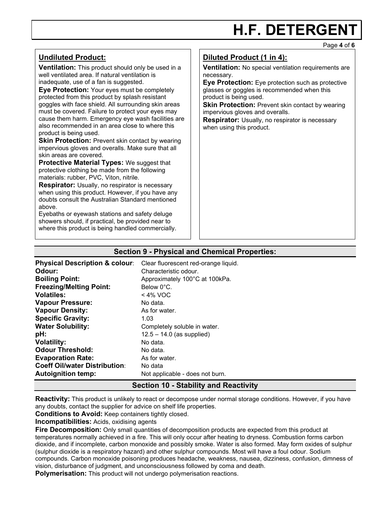#### Page **4** of **6**

### **Undiluted Product:**

**Ventilation:** This product should only be used in a well ventilated area. If natural ventilation is inadequate, use of a fan is suggested.

**Eye Protection:** Your eyes must be completely protected from this product by splash resistant goggles with face shield. All surrounding skin areas must be covered. Failure to protect your eyes may cause them harm. Emergency eye wash facilities are also recommended in an area close to where this product is being used.

**Skin Protection: Prevent skin contact by wearing** impervious gloves and overalls. Make sure that all skin areas are covered.

**Protective Material Types: We suggest that** protective clothing be made from the following materials: rubber, PVC, Viton, nitrile.

**Respirator:** Usually, no respirator is necessary when using this product. However, if you have any doubts consult the Australian Standard mentioned above.

Eyebaths or eyewash stations and safety deluge showers should, if practical, be provided near to where this product is being handled commercially.

# **Diluted Product (1 in 4):**

**Ventilation:** No special ventilation requirements are necessary.

**Eye Protection:** Eye protection such as protective glasses or goggles is recommended when this product is being used.

**Skin Protection:** Prevent skin contact by wearing impervious gloves and overalls.

**Respirator:** Usually, no respirator is necessary when using this product.

#### **Section 9 - Physical and Chemical Properties:**

**Physical Description & colour:** Clear fluorescent red-orange liquid. **Odour:** Characteristic odour.<br> **Boiling Point:** Approximately 100°C **Boiling Point:** Approximately 100°C at 100kPa. **Freezing/Melting Point:** Below 0°C. **Volatiles:**  $\leq 4\%$  VOC<br> **Vapour Pressure:** No data. **Vapour Pressure:** No data.<br> **Vapour Density:** As for water. **Vapour Density: Specific Gravity:** 1.03<br> **Water Solubility:** Com Completely soluble in water. **pH:**  $12.5 - 14.0$  (as supplied) **Volatility:** No data. **Odour Threshold:** No data. **Evaporation Rate:** As for water. **Coeff Oil/water Distribution**: No data<br> **Autoignition temp:** Not appl Not applicable - does not burn.

#### **Section 10 - Stability and Reactivity**

**Reactivity:** This product is unlikely to react or decompose under normal storage conditions. However, if you have any doubts, contact the supplier for advice on shelf life properties.

**Conditions to Avoid:** Keep containers tightly closed.

**Incompatibilities:** Acids, oxidising agents

**Fire Decomposition:** Only small quantities of decomposition products are expected from this product at temperatures normally achieved in a fire. This will only occur after heating to dryness. Combustion forms carbon dioxide, and if incomplete, carbon monoxide and possibly smoke. Water is also formed. May form oxides of sulphur (sulphur dioxide is a respiratory hazard) and other sulphur compounds. Most will have a foul odour. Sodium compounds. Carbon monoxide poisoning produces headache, weakness, nausea, dizziness, confusion, dimness of vision, disturbance of judgment, and unconsciousness followed by coma and death.

**Polymerisation:** This product will not undergo polymerisation reactions.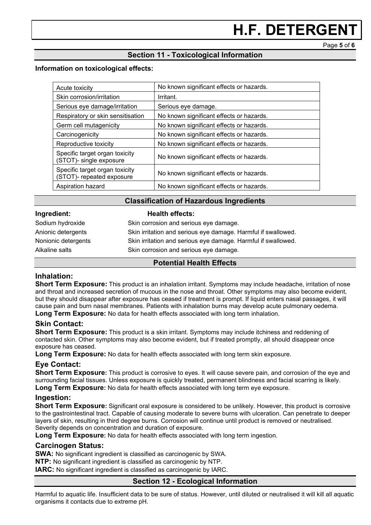Page **5** of **6**

# **Section 11 - Toxicological Information**

#### **Information on toxicological effects:**

| Acute toxicity                                              | No known significant effects or hazards. |
|-------------------------------------------------------------|------------------------------------------|
| Skin corrosion/irritation                                   | Irritant.                                |
| Serious eye damage/irritation                               | Serious eye damage.                      |
| Respiratory or skin sensitisation                           | No known significant effects or hazards. |
| Germ cell mutagenicity                                      | No known significant effects or hazards. |
| Carcinogenicity                                             | No known significant effects or hazards. |
| Reproductive toxicity                                       | No known significant effects or hazards. |
| Specific target organ toxicity<br>(STOT)- single exposure   | No known significant effects or hazards. |
| Specific target organ toxicity<br>(STOT)- repeated exposure | No known significant effects or hazards. |
| Aspiration hazard                                           | No known significant effects or hazards. |

#### **Classification of Hazardous Ingredients**

#### **Ingredient: Health effects:**

| Sodium hydroxide    | Skin corrosion and serious eye damage.                        |
|---------------------|---------------------------------------------------------------|
| Anionic detergents  | Skin irritation and serious eye damage. Harmful if swallowed. |
| Nonionic detergents | Skin irritation and serious eye damage. Harmful if swallowed. |
| Alkaline salts      | Skin corrosion and serious eye damage.                        |

#### **Potential Health Effects**

#### **Inhalation:**

**Short Term Exposure:** This product is an inhalation irritant. Symptoms may include headache, irritation of nose and throat and increased secretion of mucous in the nose and throat. Other symptoms may also become evident, but they should disappear after exposure has ceased if treatment is prompt. If liquid enters nasal passages, it will cause pain and burn nasal membranes. Patients with inhalation burns may develop acute pulmonary oedema. **Long Term Exposure:** No data for health effects associated with long term inhalation.

#### **Skin Contact:**

**Short Term Exposure:** This product is a skin irritant. Symptoms may include itchiness and reddening of contacted skin. Other symptoms may also become evident, but if treated promptly, all should disappear once exposure has ceased.

**Long Term Exposure:** No data for health effects associated with long term skin exposure.

#### **Eye Contact:**

**Short Term Exposure:** This product is corrosive to eyes. It will cause severe pain, and corrosion of the eye and surrounding facial tissues. Unless exposure is quickly treated, permanent blindness and facial scarring is likely. **Long Term Exposure:** No data for health effects associated with long term eye exposure.

#### **Ingestion:**

**Short Term Exposure:** Significant oral exposure is considered to be unlikely. However, this product is corrosive to the gastrointestinal tract. Capable of causing moderate to severe burns with ulceration. Can penetrate to deeper layers of skin, resulting in third degree burns. Corrosion will continue until product is removed or neutralised. Severity depends on concentration and duration of exposure.

**Long Term Exposure:** No data for health effects associated with long term ingestion.

#### **Carcinogen Status:**

**SWA:** No significant ingredient is classified as carcinogenic by SWA.

**NTP:** No significant ingredient is classified as carcinogenic by NTP.

**IARC:** No significant ingredient is classified as carcinogenic by IARC.

#### **Section 12 - Ecological Information**

Harmful to aquatic life. Insufficient data to be sure of status. However, until diluted or neutralised it will kill all aquatic organisms it contacts due to extreme pH.